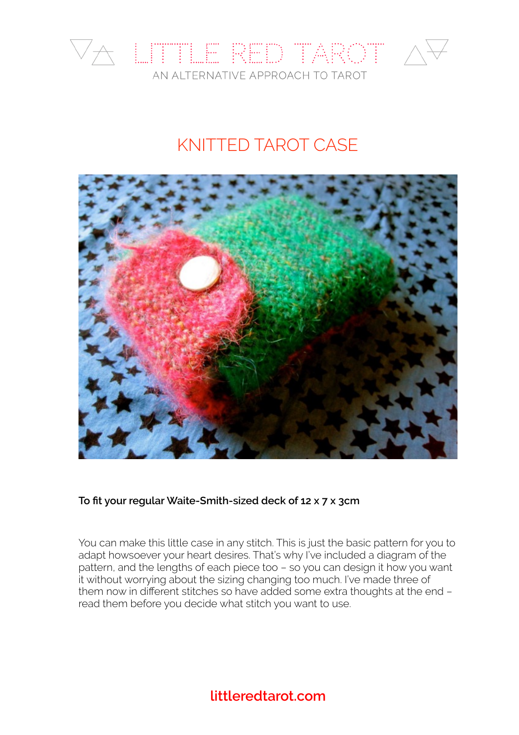

# KNITTED TAROT CASE



**To fit your regular Waite-Smith-sized deck of 12 x 7 x 3cm**

You can make this little case in any stitch. This is just the basic pattern for you to adapt howsoever your heart desires. That's why I've included a diagram of the pattern, and the lengths of each piece too – so you can design it how you want it without worrying about the sizing changing too much. I've made three of them now in different stitches so have added some extra thoughts at the end – read them before you decide what stitch you want to use.

## **[littleredtarot.com](http://littleredtarot.com)**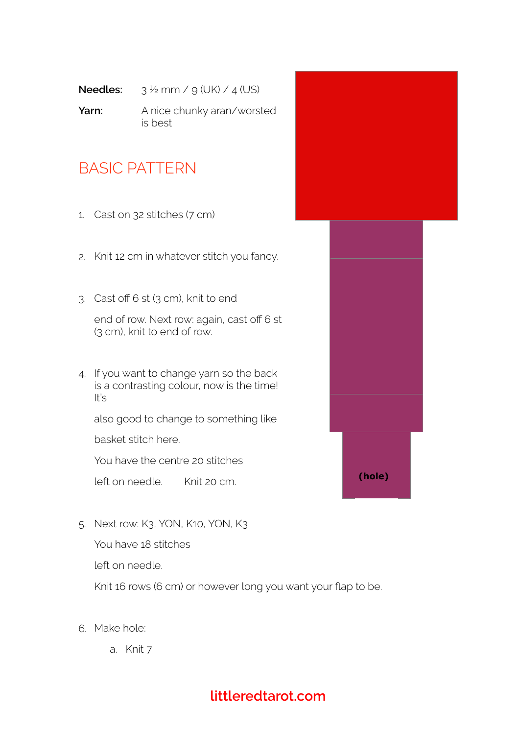- **Needles:**  $3\frac{1}{2}$  mm /  $9$  (UK) /  $4$  (US)
- **Yarn:** A nice chunky aran/worsted is best

# BASIC PATTERN

- 1. Cast on 32 stitches (7 cm)
- 2. Knit 12 cm in whatever stitch you fancy.
- 3. Cast off 6 st (3 cm), knit to end

end of row. Next row: again, cast off 6 st (3 cm), knit to end of row.

4. If you want to change yarn so the back is a contrasting colour, now is the time! It's

also good to change to something like

basket stitch here.

You have the centre 20 stitches

left on needle. Knit 20 cm.

5. Next row: K3, YON, K10, YON, K3

You have 18 stitches

left on needle.

Knit 16 rows (6 cm) or however long you want your flap to be.

- 6. Make hole:
	- a. Knit 7



## **[littleredtarot.com](http://littleredtarot.com)**